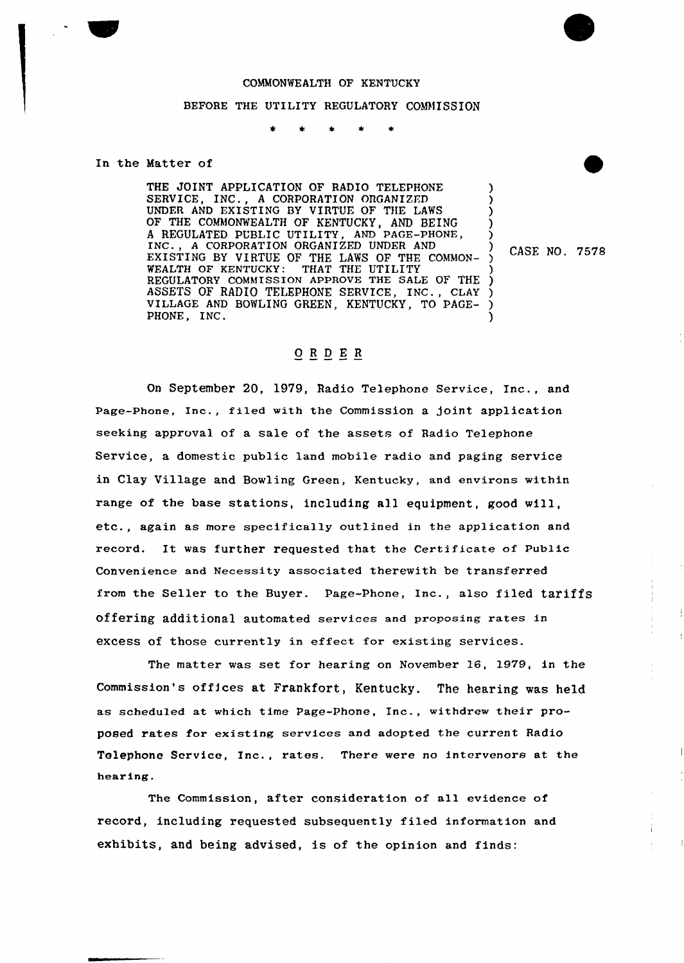## COMMONWEALTH OF KENTUCKY

## BEFORE THE UTILITY REGULATORY COMMISSION

In the Matter of

THE JOINT APPLICATION OF RADIO TELEPHONE SERVICE, INC., A CORPORATION ORGANIZED UNDER AND EXISTING BY VIRTUE OF THE LAWS OF THE COMMONWEALTH OF KENTUCKY, AND BEING <sup>A</sup> REGULATED PUBIIC UTILITY, AND PAGE-PHONE, INC., <sup>A</sup> CORPORATION ORGANIZED UNDER AND EXISTING BY VIRTUE OF THE LAWS OF THE COMMON-WEALTH OF KENTUCKY: THAT THE UTILITY REGULATORY COMMISSION APPROVE THE SALE OF THE ) ASSETS OF RADIO TELEPHONE SERVICE, INC., CLAY ) VILLAGE AND BOWLING GREEN, KENTUCKY, TO PAGE-PHONE, INC. ) ) ) ) ) ) CASE NO. 7578 ) )

## ORDER

On September 20, 1979, Radio Telephone Service, Inc., and Page-Phone, Inc., filed with the Commission a joint application seeking approval of a sale of the assets of Radio Telephone Service, a domestic public land mobile radio and paging service in Clay Village and Bowling Green, Kentucky, and environs within range of the base stations, including all equipment, good will, etc., again as more specifically outlined in the application and record. It was further requested that the certificate of public Convenience and Necessity associated therewith be transferred from the Seller to the Buyer. Page-Phone, Inc., also filed tariffs offering additional automated services and proposing rates in excess of those currently in effect for existing services.

The matter was set for hearing on November 16, 1979, in the Commission's offices at Frankfort, Kentucky. The hearing was held as scheduled at which time Page-Phone, Inc., withdrew their proposed rates for existing services and adopted the current Radio Telephone Service, Inc., rates. There were no intervenors at the hearing.

The Commission, after consideration of all evidence of record, including requested subsequently filed information and exhibits, and being advised, is of the opinion and finds: